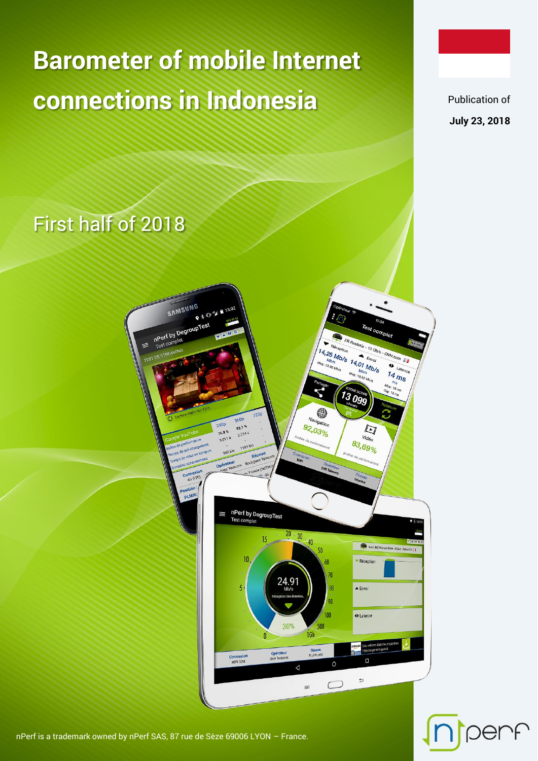# **Barometer of mobile Internet connections in Indonesia**

Publication of **July 23, 2018**

per

First half of 2018



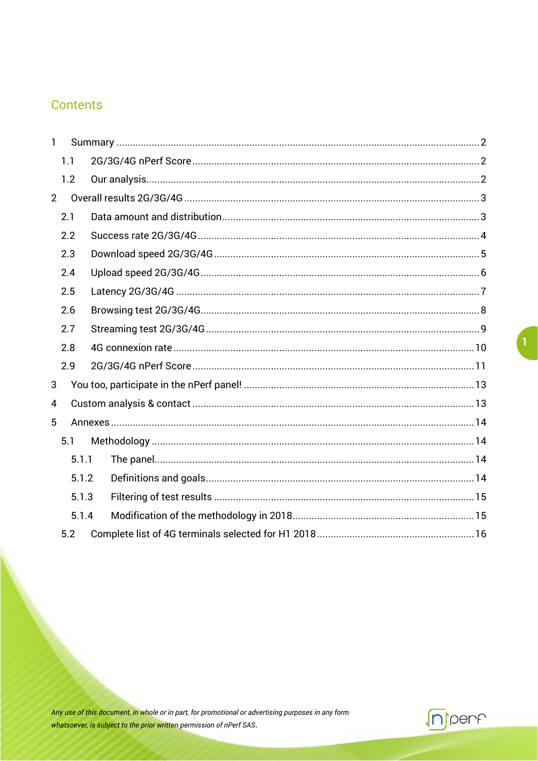#### **Contents**

| $\mathbf{1}$ |       |  |  |  |  |
|--------------|-------|--|--|--|--|
|              | 1.1   |  |  |  |  |
|              | 1.2   |  |  |  |  |
| 2            |       |  |  |  |  |
|              | 2.1   |  |  |  |  |
|              | 2.2   |  |  |  |  |
|              | 2.3   |  |  |  |  |
|              | 2.4   |  |  |  |  |
|              | 2.5   |  |  |  |  |
|              | 2.6   |  |  |  |  |
|              | 2.7   |  |  |  |  |
|              | 2.8   |  |  |  |  |
|              | 2.9   |  |  |  |  |
| 3            |       |  |  |  |  |
| 4            |       |  |  |  |  |
| 5            |       |  |  |  |  |
|              | 5.1   |  |  |  |  |
|              | 5.1.1 |  |  |  |  |
|              | 5.1.2 |  |  |  |  |
|              | 5.1.3 |  |  |  |  |
|              | 5.1.4 |  |  |  |  |
|              | 5.2   |  |  |  |  |

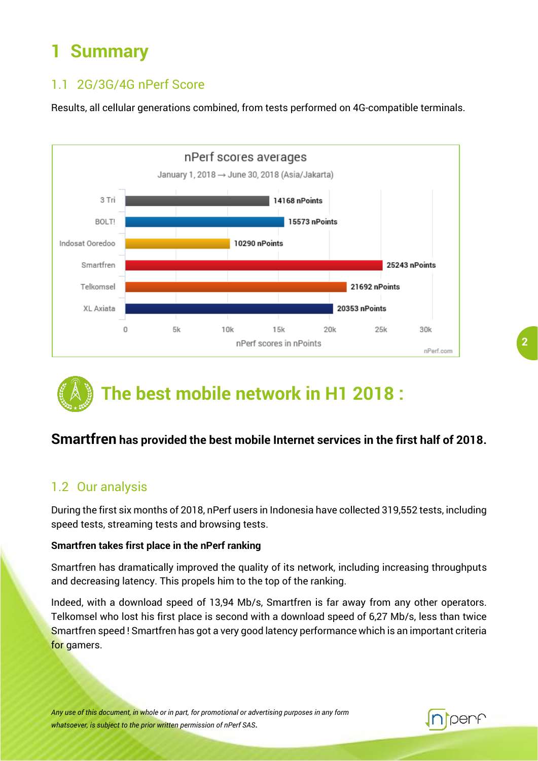## <span id="page-2-0"></span>**1 Summary**

#### <span id="page-2-1"></span>1.1 2G/3G/4G nPerf Score

Results, all cellular generations combined, from tests performed on 4G-compatible terminals.



## **The best mobile network in H1 2018 :**

#### **Smartfren has provided the best mobile Internet services in the first half of 2018.**

#### <span id="page-2-2"></span>1.2 Our analysis

During the first six months of 2018, nPerf users in Indonesia have collected 319,552 tests, including speed tests, streaming tests and browsing tests.

#### **Smartfren takes first place in the nPerf ranking**

Smartfren has dramatically improved the quality of its network, including increasing throughputs and decreasing latency. This propels him to the top of the ranking.

Indeed, with a download speed of 13,94 Mb/s, Smartfren is far away from any other operators. Telkomsel who lost his first place is second with a download speed of 6,27 Mb/s, less than twice Smartfren speed ! Smartfren has got a very good latency performance which is an important criteria for gamers.

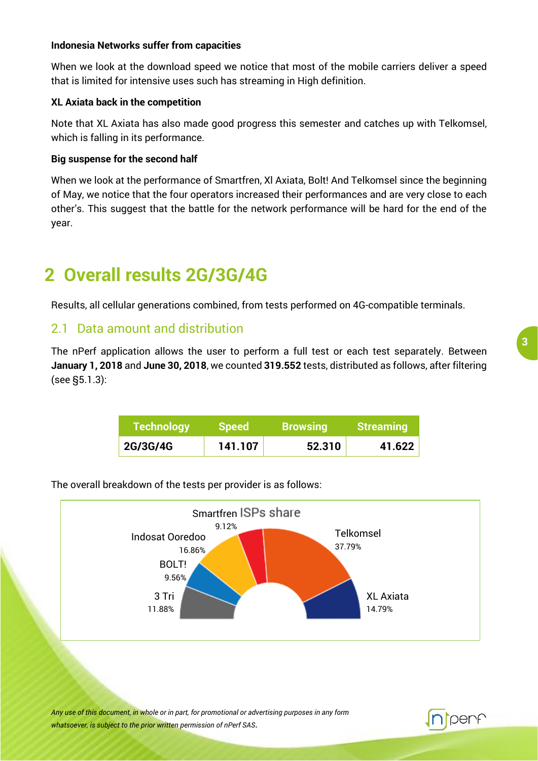#### **Indonesia Networks suffer from capacities**

When we look at the download speed we notice that most of the mobile carriers deliver a speed that is limited for intensive uses such has streaming in High definition.

#### **XL Axiata back in the competition**

Note that XL Axiata has also made good progress this semester and catches up with Telkomsel, which is falling in its performance.

#### **Big suspense for the second half**

When we look at the performance of Smartfren, Xl Axiata, Bolt! And Telkomsel since the beginning of May, we notice that the four operators increased their performances and are very close to each other's. This suggest that the battle for the network performance will be hard for the end of the year.

### <span id="page-3-0"></span>**2 Overall results 2G/3G/4G**

Results, all cellular generations combined, from tests performed on 4G-compatible terminals.

#### <span id="page-3-1"></span>2.1 Data amount and distribution

The nPerf application allows the user to perform a full test or each test separately. Between **January 1, 2018** and **June 30, 2018**, we counted **319.552** tests, distributed as follows, after filtering (see §5.1.3):

| <b>Technology</b> | <b>Speed</b> | <b>Browsing</b> | <b>Streaming</b> |
|-------------------|--------------|-----------------|------------------|
| 2G/3G/4G          | 141.107      | 52.310          | 41.622           |



The overall breakdown of the tests per provider is as follows:

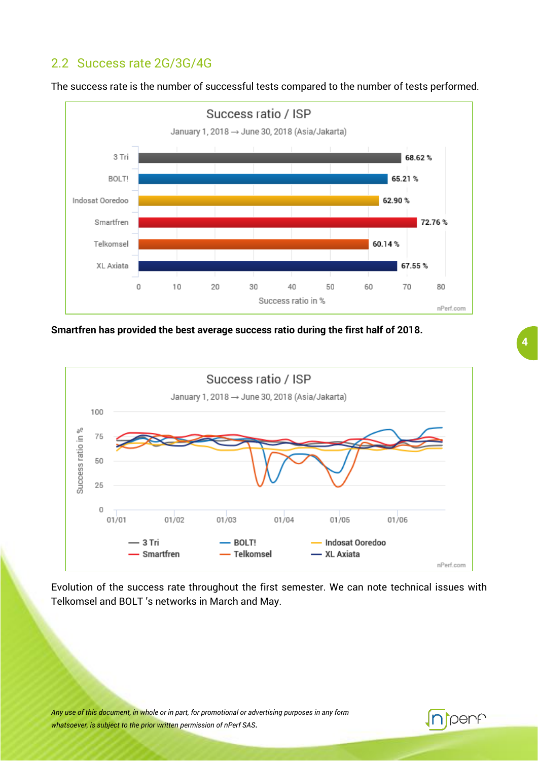#### <span id="page-4-0"></span>2.2 Success rate 2G/3G/4G



The success rate is the number of successful tests compared to the number of tests performed.

**Smartfren has provided the best average success ratio during the first half of 2018.**



Evolution of the success rate throughout the first semester. We can note technical issues with Telkomsel and BOLT 's networks in March and May.

*Any use of this document, in whole or in part, for promotional or advertising purposes in any form whatsoever, is subject to the prior written permission of nPerf SAS*.

**T**penf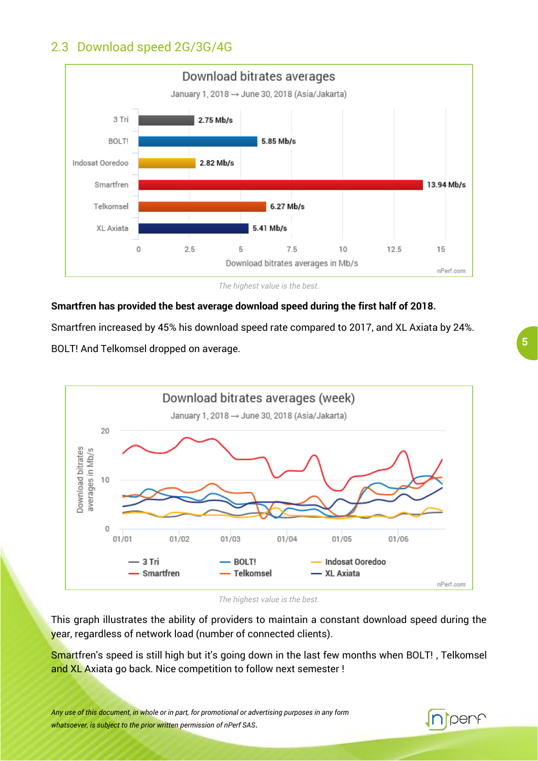#### <span id="page-5-0"></span>2.3 Download speed 2G/3G/4G



*The highest value is the best.*

#### **Smartfren has provided the best average download speed during the first half of 2018.**

Smartfren increased by 45% his download speed rate compared to 2017, and XL Axiata by 24%. BOLT! And Telkomsel dropped on average.



*The highest value is the best.*

This graph illustrates the ability of providers to maintain a constant download speed during the year, regardless of network load (number of connected clients).

Smartfren's speed is still high but it's going down in the last few months when BOLT!, Telkomsel and XL Axiata go back. Nice competition to follow next semester !

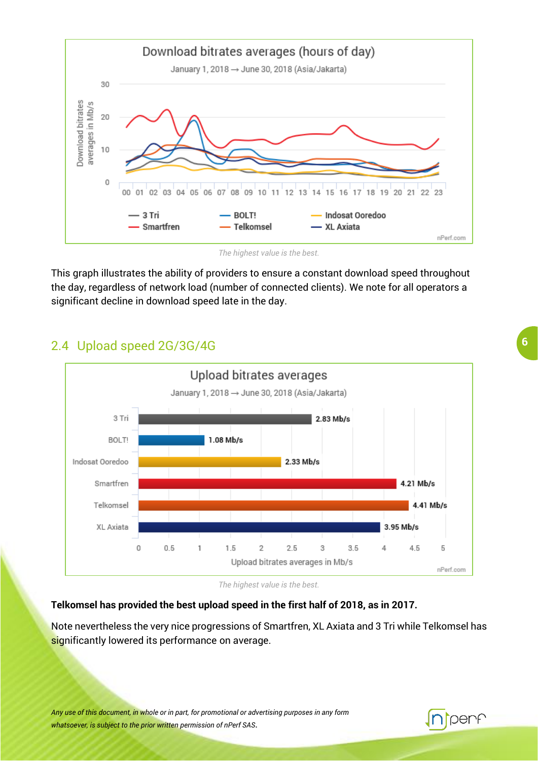

*The highest value is the best.*

This graph illustrates the ability of providers to ensure a constant download speed throughout the day, regardless of network load (number of connected clients). We note for all operators a significant decline in download speed late in the day.

#### <span id="page-6-0"></span>2.4 Upload speed 2G/3G/4G



*The highest value is the best.*

#### **Telkomsel has provided the best upload speed in the first half of 2018, as in 2017.**

Note nevertheless the very nice progressions of Smartfren, XL Axiata and 3 Tri while Telkomsel has significantly lowered its performance on average.

*Any use of this document, in whole or in part, for promotional or advertising purposes in any form whatsoever, is subject to the prior written permission of nPerf SAS*.

### **Perf**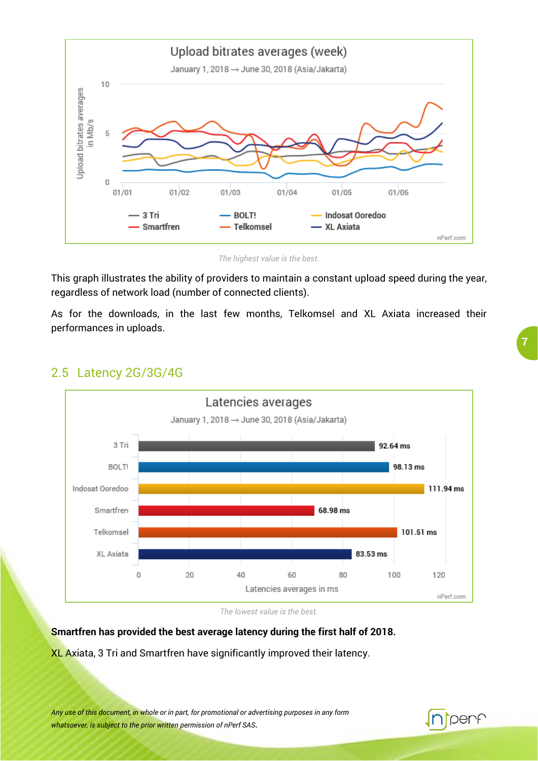

*The highest value is the best.*

This graph illustrates the ability of providers to maintain a constant upload speed during the year, regardless of network load (number of connected clients).

As for the downloads, in the last few months, Telkomsel and XL Axiata increased their performances in uploads.



#### <span id="page-7-0"></span>2.5 Latency 2G/3G/4G

*The lowest value is the best.*

#### **Smartfren has provided the best average latency during the first half of 2018.**

XL Axiata, 3 Tri and Smartfren have significantly improved their latency.

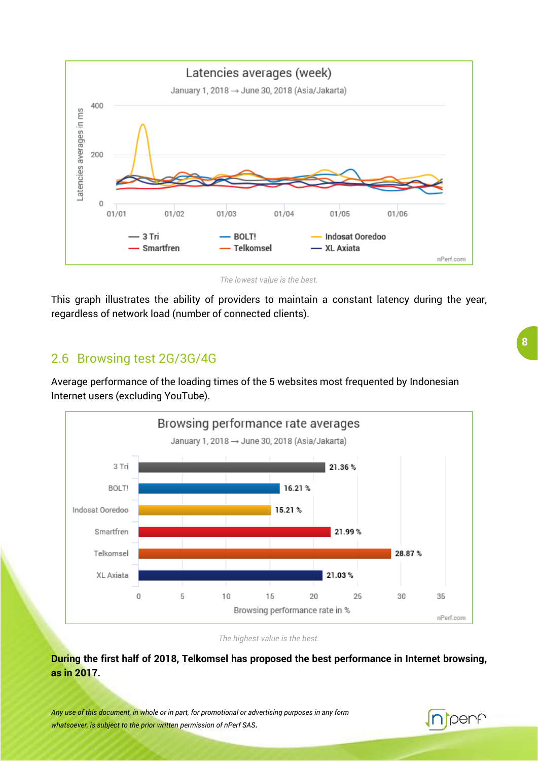

*The lowest value is the best.*

This graph illustrates the ability of providers to maintain a constant latency during the year, regardless of network load (number of connected clients).

#### <span id="page-8-0"></span>2.6 Browsing test 2G/3G/4G

Average performance of the loading times of the 5 websites most frequented by Indonesian Internet users (excluding YouTube).



*The highest value is the best.*

**During the first half of 2018, Telkomsel has proposed the best performance in Internet browsing, as in 2017.**

*Any use of this document, in whole or in part, for promotional or advertising purposes in any form whatsoever, is subject to the prior written permission of nPerf SAS*.

### **I**perf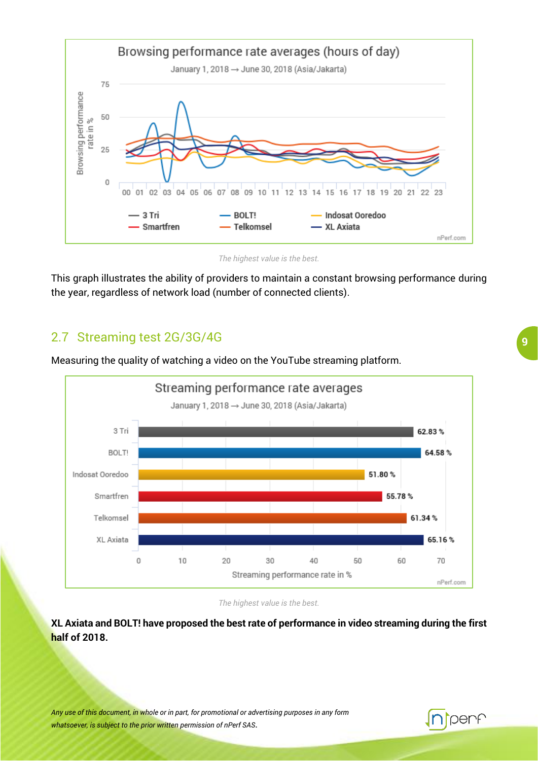

*The highest value is the best.*

This graph illustrates the ability of providers to maintain a constant browsing performance during the year, regardless of network load (number of connected clients).

#### <span id="page-9-0"></span>2.7 Streaming test 2G/3G/4G

Measuring the quality of watching a video on the YouTube streaming platform.



*The highest value is the best.*

**XL Axiata and BOLT! have proposed the best rate of performance in video streaming during the first half of 2018.**

*Any use of this document, in whole or in part, for promotional or advertising purposes in any form whatsoever, is subject to the prior written permission of nPerf SAS*.

#### **9**

penf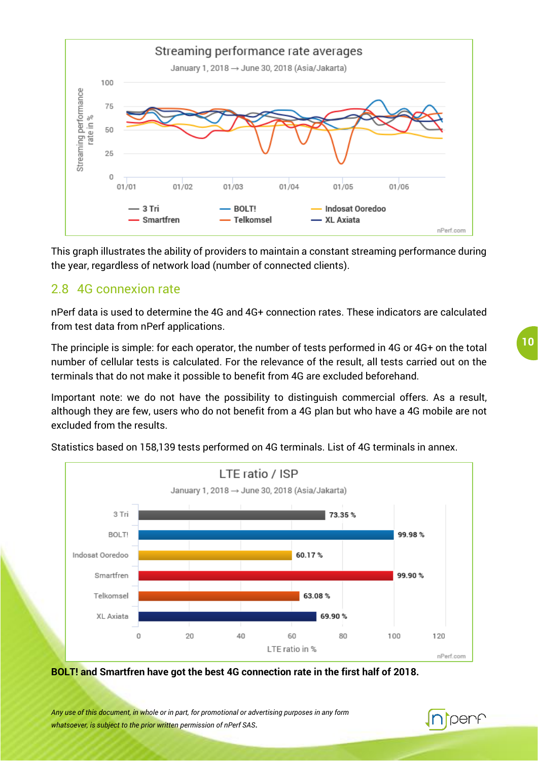

This graph illustrates the ability of providers to maintain a constant streaming performance during the year, regardless of network load (number of connected clients).

#### <span id="page-10-0"></span>2.8 4G connexion rate

nPerf data is used to determine the 4G and 4G+ connection rates. These indicators are calculated from test data from nPerf applications.

The principle is simple: for each operator, the number of tests performed in 4G or 4G+ on the total number of cellular tests is calculated. For the relevance of the result, all tests carried out on the terminals that do not make it possible to benefit from 4G are excluded beforehand.

Important note: we do not have the possibility to distinguish commercial offers. As a result, although they are few, users who do not benefit from a 4G plan but who have a 4G mobile are not excluded from the results.



Statistics based on 158,139 tests performed on 4G terminals. List of 4G terminals in annex.

**BOLT! and Smartfren have got the best 4G connection rate in the first half of 2018.**

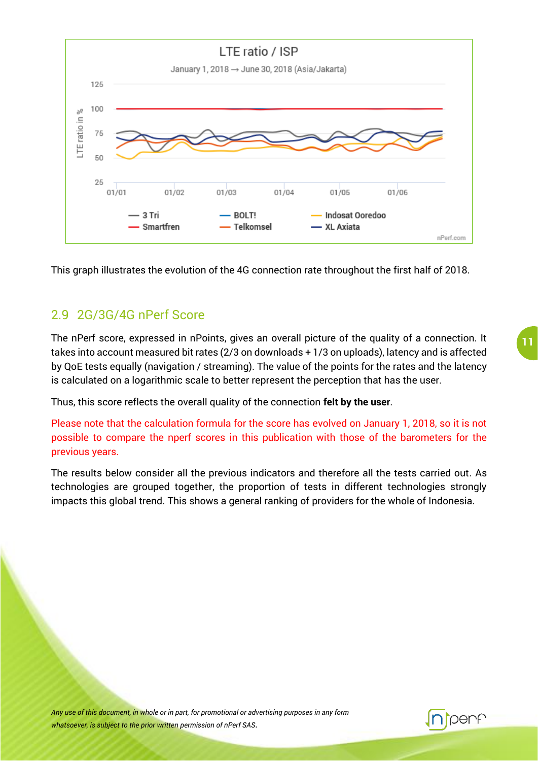

This graph illustrates the evolution of the 4G connection rate throughout the first half of 2018.

#### <span id="page-11-0"></span>2.9 2G/3G/4G nPerf Score

The nPerf score, expressed in nPoints, gives an overall picture of the quality of a connection. It takes into account measured bit rates (2/3 on downloads + 1/3 on uploads), latency and is affected by QoE tests equally (navigation / streaming). The value of the points for the rates and the latency is calculated on a logarithmic scale to better represent the perception that has the user.

Thus, this score reflects the overall quality of the connection **felt by the user**.

Please note that the calculation formula for the score has evolved on January 1, 2018, so it is not possible to compare the nperf scores in this publication with those of the barometers for the previous years.

The results below consider all the previous indicators and therefore all the tests carried out. As technologies are grouped together, the proportion of tests in different technologies strongly impacts this global trend. This shows a general ranking of providers for the whole of Indonesia.

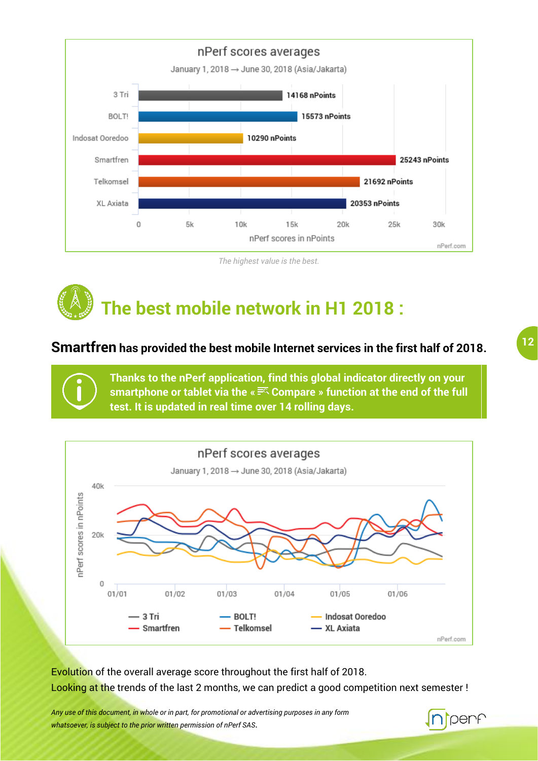

*The highest value is the best.*

# **The best mobile network in H1 2018 :**

#### **Smartfren has provided the best mobile Internet services in the first half of 2018.**

**Thanks to the nPerf application, find this global indicator directly on your smartphone or tablet via the « Compare » function at the end of the full test. It is updated in real time over 14 rolling days.**



Evolution of the overall average score throughout the first half of 2018. Looking at the trends of the last 2 months, we can predict a good competition next semester !

*Any use of this document, in whole or in part, for promotional or advertising purposes in any form whatsoever, is subject to the prior written permission of nPerf SAS*.

### penf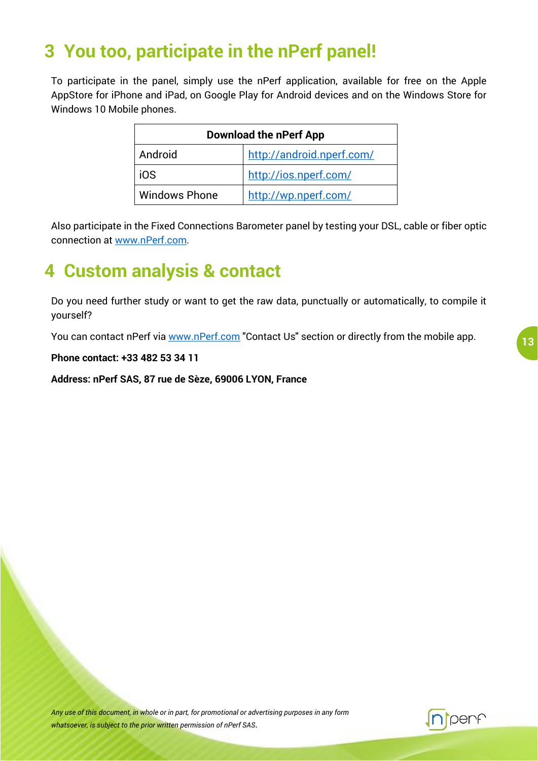### <span id="page-13-0"></span>**3 You too, participate in the nPerf panel!**

To participate in the panel, simply use the nPerf application, available for free on the Apple AppStore for iPhone and iPad, on Google Play for Android devices and on the Windows Store for Windows 10 Mobile phones.

| <b>Download the nPerf App</b> |                           |  |  |
|-------------------------------|---------------------------|--|--|
| Android                       | http://android.nperf.com/ |  |  |
| i0S                           | http://ios.nperf.com/     |  |  |
| <b>Windows Phone</b>          | http://wp.nperf.com/      |  |  |

Also participate in the Fixed Connections Barometer panel by testing your DSL, cable or fiber optic connection at [www.nPerf.com.](http://www.nperf.com/)

### <span id="page-13-1"></span>**4 Custom analysis & contact**

Do you need further study or want to get the raw data, punctually or automatically, to compile it yourself?

You can contact nPerf via [www.nPerf.com](http://www.nperf.com/) "Contact Us" section or directly from the mobile app.

**Phone contact: +33 482 53 34 11**

**Address: nPerf SAS, 87 rue de Sèze, 69006 LYON, France**

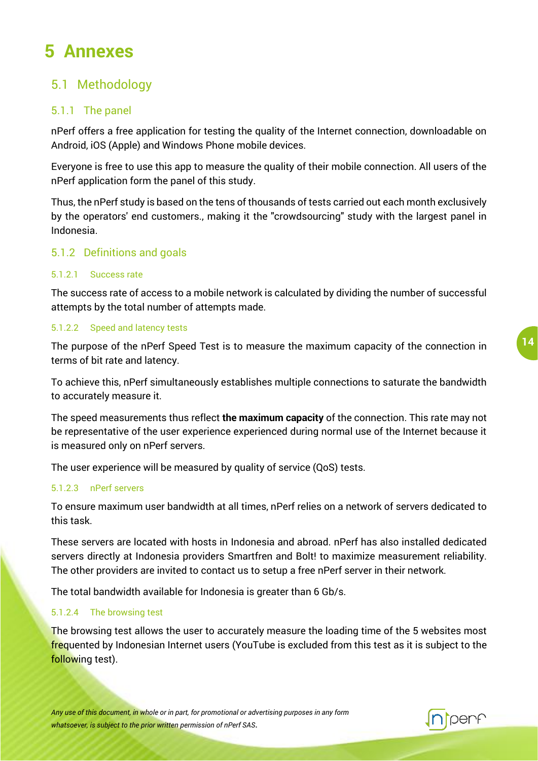### <span id="page-14-0"></span>**5 Annexes**

#### <span id="page-14-1"></span>5.1 Methodology

#### <span id="page-14-2"></span>5.1.1 The panel

nPerf offers a free application for testing the quality of the Internet connection, downloadable on Android, iOS (Apple) and Windows Phone mobile devices.

Everyone is free to use this app to measure the quality of their mobile connection. All users of the nPerf application form the panel of this study.

Thus, the nPerf study is based on the tens of thousands of tests carried out each month exclusively by the operators' end customers., making it the "crowdsourcing" study with the largest panel in Indonesia.

#### <span id="page-14-3"></span>5.1.2 Definitions and goals

#### 5.1.2.1 Success rate

The success rate of access to a mobile network is calculated by dividing the number of successful attempts by the total number of attempts made.

#### 5.1.2.2 Speed and latency tests

The purpose of the nPerf Speed Test is to measure the maximum capacity of the connection in terms of bit rate and latency.

To achieve this, nPerf simultaneously establishes multiple connections to saturate the bandwidth to accurately measure it.

The speed measurements thus reflect **the maximum capacity** of the connection. This rate may not be representative of the user experience experienced during normal use of the Internet because it is measured only on nPerf servers.

The user experience will be measured by quality of service (QoS) tests.

#### 5.1.2.3 nPerf servers

To ensure maximum user bandwidth at all times, nPerf relies on a network of servers dedicated to this task.

These servers are located with hosts in Indonesia and abroad. nPerf has also installed dedicated servers directly at Indonesia providers Smartfren and Bolt! to maximize measurement reliability. The other providers are invited to contact us to setup a free nPerf server in their network.

The total bandwidth available for Indonesia is greater than 6 Gb/s.

#### 5.1.2.4 The browsing test

The browsing test allows the user to accurately measure the loading time of the 5 websites most frequented by Indonesian Internet users (YouTube is excluded from this test as it is subject to the following test).

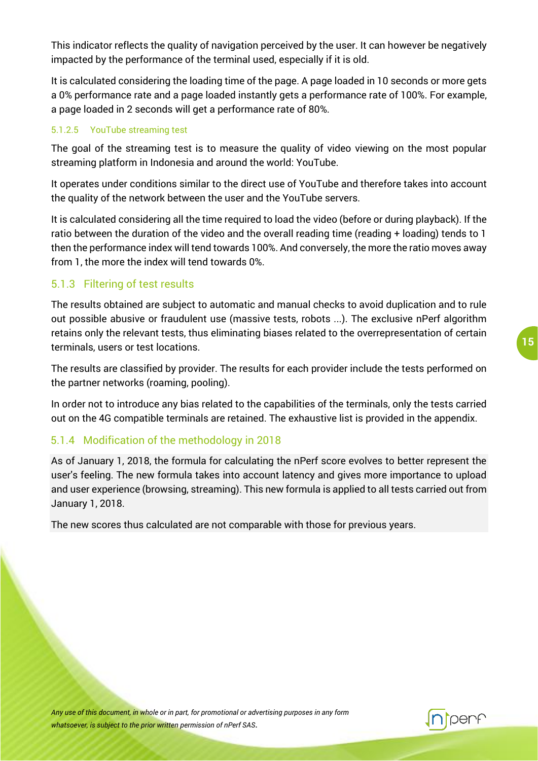This indicator reflects the quality of navigation perceived by the user. It can however be negatively impacted by the performance of the terminal used, especially if it is old.

It is calculated considering the loading time of the page. A page loaded in 10 seconds or more gets a 0% performance rate and a page loaded instantly gets a performance rate of 100%. For example, a page loaded in 2 seconds will get a performance rate of 80%.

#### 5.1.2.5 YouTube streaming test

The goal of the streaming test is to measure the quality of video viewing on the most popular streaming platform in Indonesia and around the world: YouTube.

It operates under conditions similar to the direct use of YouTube and therefore takes into account the quality of the network between the user and the YouTube servers.

It is calculated considering all the time required to load the video (before or during playback). If the ratio between the duration of the video and the overall reading time (reading + loading) tends to 1 then the performance index will tend towards 100%. And conversely, the more the ratio moves away from 1, the more the index will tend towards 0%.

#### <span id="page-15-0"></span>5.1.3 Filtering of test results

The results obtained are subject to automatic and manual checks to avoid duplication and to rule out possible abusive or fraudulent use (massive tests, robots ...). The exclusive nPerf algorithm retains only the relevant tests, thus eliminating biases related to the overrepresentation of certain terminals, users or test locations.

The results are classified by provider. The results for each provider include the tests performed on the partner networks (roaming, pooling).

In order not to introduce any bias related to the capabilities of the terminals, only the tests carried out on the 4G compatible terminals are retained. The exhaustive list is provided in the appendix.

#### <span id="page-15-1"></span>5.1.4 Modification of the methodology in 2018

As of January 1, 2018, the formula for calculating the nPerf score evolves to better represent the user's feeling. The new formula takes into account latency and gives more importance to upload and user experience (browsing, streaming). This new formula is applied to all tests carried out from January 1, 2018.

The new scores thus calculated are not comparable with those for previous years.